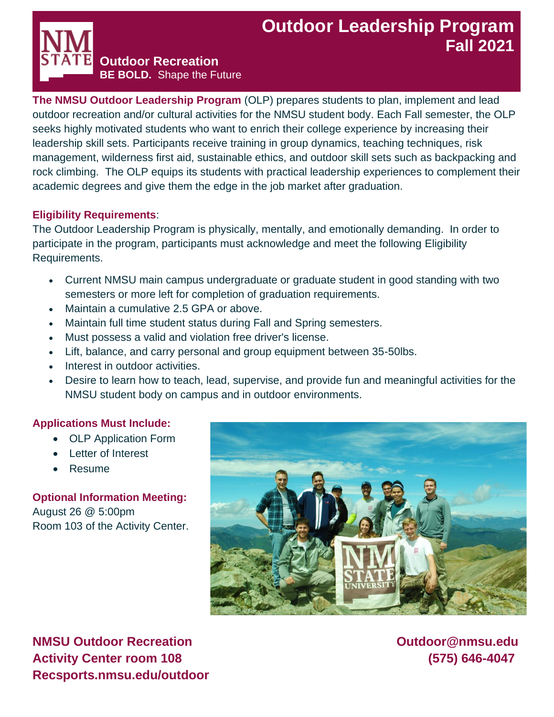# **Outdoor Leadership Program Fall 2021**

**Outdoor Recreation**

**BE BOLD.** Shape the Future

**The NMSU Outdoor Leadership Program** (OLP) prepares students to plan, implement and lead outdoor recreation and/or cultural activities for the NMSU student body. Each Fall semester, the OLP seeks highly motivated students who want to enrich their college experience by increasing their leadership skill sets. Participants receive training in group dynamics, teaching techniques, risk management, wilderness first aid, sustainable ethics, and outdoor skill sets such as backpacking and rock climbing. The OLP equips its students with practical leadership experiences to complement their academic degrees and give them the edge in the job market after graduation.

### **Eligibility Requirements**:

The Outdoor Leadership Program is physically, mentally, and emotionally demanding. In order to participate in the program, participants must acknowledge and meet the following Eligibility Requirements.

- Current NMSU main campus undergraduate or graduate student in good standing with two semesters or more left for completion of graduation requirements.
- Maintain a cumulative 2.5 GPA or above.
- Maintain full time student status during Fall and Spring semesters.
- Must possess a valid and violation free driver's license.
- Lift, balance, and carry personal and group equipment between 35-50lbs.
- Interest in outdoor activities.
- Desire to learn how to teach, lead, supervise, and provide fun and meaningful activities for the NMSU student body on campus and in outdoor environments.

# **Applications Must Include:**

- OLP Application Form
- Letter of Interest
- Resume

**Optional Information Meeting:**  August 26 @ 5:00pm Room 103 of the Activity Center.



**NMSU Outdoor Recreation Construction Current Construction Current Current Current Current Current Current Current Current Current Current Current Current Current Current Current Current Current Current Current Current Cur Activity Center room 108 (575) 646-4047 Recsports.nmsu.edu/outdoor**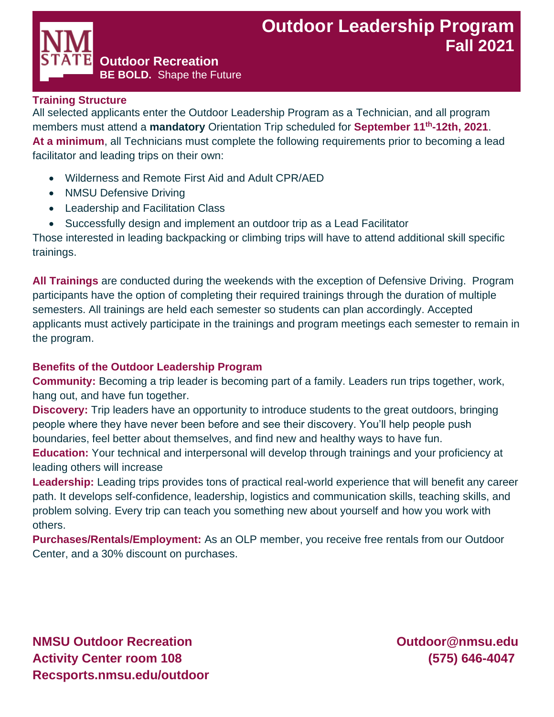#### **Training Structure**

All selected applicants enter the Outdoor Leadership Program as a Technician, and all program members must attend a **mandatory** Orientation Trip scheduled for **September 11th-12th, 2021**. **At a minimum**, all Technicians must complete the following requirements prior to becoming a lead facilitator and leading trips on their own:

• Wilderness and Remote First Aid and Adult CPR/AED

**Outdoor Recreation**

**BE BOLD.** Shape the Future

- NMSU Defensive Driving
- Leadership and Facilitation Class
- Successfully design and implement an outdoor trip as a Lead Facilitator

Those interested in leading backpacking or climbing trips will have to attend additional skill specific trainings.

**All Trainings** are conducted during the weekends with the exception of Defensive Driving. Program participants have the option of completing their required trainings through the duration of multiple semesters. All trainings are held each semester so students can plan accordingly. Accepted applicants must actively participate in the trainings and program meetings each semester to remain in the program.

#### **Benefits of the Outdoor Leadership Program**

**Community:** Becoming a trip leader is becoming part of a family. Leaders run trips together, work, hang out, and have fun together.

**Discovery:** Trip leaders have an opportunity to introduce students to the great outdoors, bringing people where they have never been before and see their discovery. You'll help people push boundaries, feel better about themselves, and find new and healthy ways to have fun.

**Education:** Your technical and interpersonal will develop through trainings and your proficiency at leading others will increase

**Leadership:** Leading trips provides tons of practical real-world experience that will benefit any career path. It develops self-confidence, leadership, logistics and communication skills, teaching skills, and problem solving. Every trip can teach you something new about yourself and how you work with others.

**Purchases/Rentals/Employment:** As an OLP member, you receive free rentals from our Outdoor Center, and a 30% discount on purchases.

**NMSU Outdoor Recreation Construction Current Construction Current Current Current Current Current Current Current Current Current Current Current Current Current Current Current Current Current Current Current Current Cur Activity Center room 108 (575) 646-4047 Recsports.nmsu.edu/outdoor**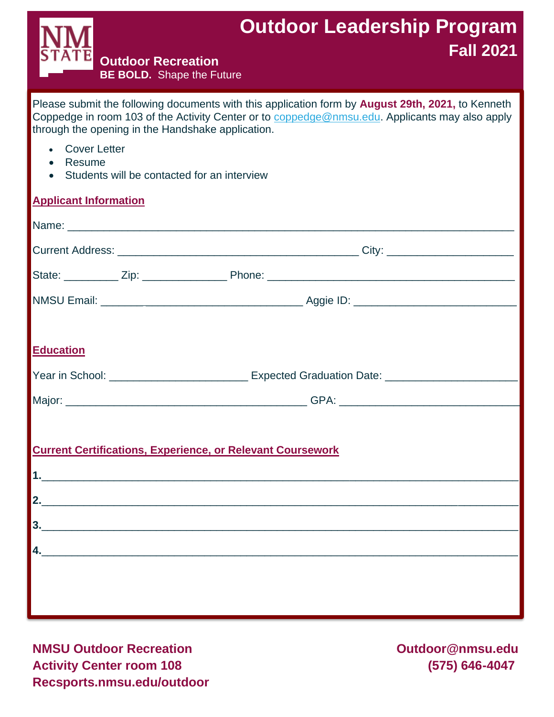

# **Outdoor Leadership Program Fall 2021**

**Outdoor Recreation BE BOLD.** Shape the Future

Please submit the following documents with this application form by **August 29th, 2021,** to Kenneth Coppedge in room 103 of the Activity Center or to [coppedge@nmsu.edu.](mailto:coppedge@nmsu.edu) Applicants may also apply through the opening in the Handshake application.

- **Cover Letter**
- Resume
- Students will be contacted for an interview

# **Applicant Information**

|                  |  | Name: Name: Name: Name: Name: Name: Name: Name: Name: Name: Name: Name: Name: Name: Name: Name: Name: Name: Name: Name: Name: Name: Name: Name: Name: Name: Name: Name: Name: Name: Name: Name: Name: Name: Name: Name: Name:                                                                                                                                                                               |  |
|------------------|--|-------------------------------------------------------------------------------------------------------------------------------------------------------------------------------------------------------------------------------------------------------------------------------------------------------------------------------------------------------------------------------------------------------------|--|
|                  |  |                                                                                                                                                                                                                                                                                                                                                                                                             |  |
|                  |  |                                                                                                                                                                                                                                                                                                                                                                                                             |  |
|                  |  |                                                                                                                                                                                                                                                                                                                                                                                                             |  |
| <b>Education</b> |  |                                                                                                                                                                                                                                                                                                                                                                                                             |  |
|                  |  | Year in School: _______________________________ Expected Graduation Date: __________________________                                                                                                                                                                                                                                                                                                        |  |
|                  |  |                                                                                                                                                                                                                                                                                                                                                                                                             |  |
|                  |  | <b>Current Certifications, Experience, or Relevant Coursework</b>                                                                                                                                                                                                                                                                                                                                           |  |
|                  |  | $\begin{array}{c c c c c} \hline \textbf{2.} & \textbf{3.} & \textbf{1.} & \textbf{1.} & \textbf{1.} \\ \hline \textbf{3.} & \textbf{1.} & \textbf{1.} & \textbf{1.} & \textbf{1.} & \textbf{1.} \\ \hline \textbf{4.} & \textbf{1.} & \textbf{1.} & \textbf{1.} & \textbf{1.} & \textbf{1.} & \textbf{1.} \\ \hline \textbf{5.} & \textbf{1.} & \textbf{1.} & \textbf{1.} & \textbf{1.} & \textbf{1.} & \$ |  |
|                  |  |                                                                                                                                                                                                                                                                                                                                                                                                             |  |
|                  |  | $\overline{a}$                                                                                                                                                                                                                                                                                                                                                                                              |  |
|                  |  |                                                                                                                                                                                                                                                                                                                                                                                                             |  |
|                  |  |                                                                                                                                                                                                                                                                                                                                                                                                             |  |
|                  |  |                                                                                                                                                                                                                                                                                                                                                                                                             |  |